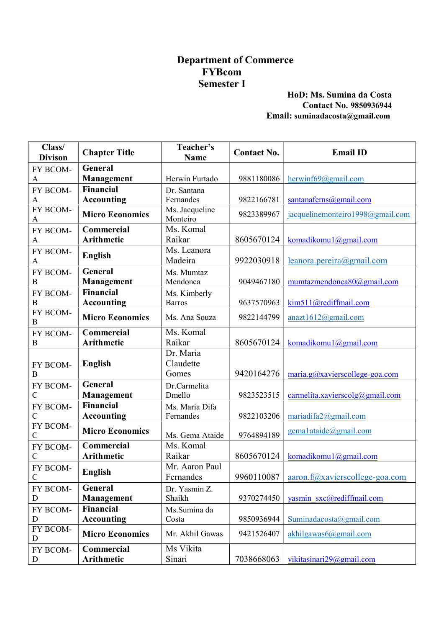# Department of Commerce FYBcom Semester I

#### HoD: Ms. Sumina da Costa Contact No. 9850936944 Email: suminadacosta@gmail.com

| Class/<br><b>Divison</b>  | <b>Chapter Title</b>   | Teacher's<br><b>Name</b>   | <b>Contact No.</b> | <b>Email ID</b>                  |
|---------------------------|------------------------|----------------------------|--------------------|----------------------------------|
| FY BCOM-                  | <b>General</b>         |                            |                    |                                  |
| A                         | Management             | Herwin Furtado             | 9881180086         | hervinf69@gmail.com              |
| FY BCOM-                  | <b>Financial</b>       | Dr. Santana                |                    |                                  |
| A                         | <b>Accounting</b>      | Fernandes                  | 9822166781         | santanaferns@gmail.com           |
| FY BCOM-<br>A             | <b>Micro Economics</b> | Ms. Jacqueline<br>Monteiro | 9823389967         | jacquelinemonteiro1998@gmail.com |
| FY BCOM-                  | Commercial             | Ms. Komal                  |                    |                                  |
| A                         | <b>Arithmetic</b>      | Raikar                     | 8605670124         | komadikomul@gmail.com            |
| FY BCOM-<br>A             | <b>English</b>         | Ms. Leanora<br>Madeira     | 9922030918         | leanora.pereira@gmail.com        |
| FY BCOM-                  | General                | Ms. Mumtaz                 |                    |                                  |
| $\boldsymbol{B}$          | Management             | Mendonca                   | 9049467180         | mumtazmendonca80@gmail.com       |
| FY BCOM-                  | Financial              | Ms. Kimberly               |                    |                                  |
| B                         | <b>Accounting</b>      | <b>Barros</b>              | 9637570963         | kim511@rediffmail.com            |
| FY BCOM-<br>$\bf{B}$      | <b>Micro Economics</b> | Ms. Ana Souza              | 9822144799         | anazt1612@gmail.com              |
| FY BCOM-                  | Commercial             | Ms. Komal                  |                    |                                  |
| B                         | <b>Arithmetic</b>      | Raikar                     | 8605670124         | komadikomul@gmail.com            |
|                           |                        | Dr. Maria                  |                    |                                  |
| FY BCOM-                  | <b>English</b>         | Claudette                  |                    |                                  |
| B                         |                        | Gomes                      | 9420164276         | maria.g@xavierscollege-goa.com   |
| FY BCOM-                  | General                | Dr.Carmelita               |                    |                                  |
| $\mathcal{C}$             | <b>Management</b>      | Dmello                     | 9823523515         | carmelita.xavierscolg@gmail.com  |
| FY BCOM-                  | Financial              | Ms. Maria Difa             |                    |                                  |
| $\mathcal{C}$             | <b>Accounting</b>      | Fernandes                  | 9822103206         | mariadifa2@gmail.com             |
| FY BCOM-<br>$\mathcal{C}$ | <b>Micro Economics</b> | Ms. Gema Ataide            | 9764894189         | $\text{gema1}$ ataide@gmail.com  |
| FY BCOM-                  | Commercial             | Ms. Komal                  |                    |                                  |
| $\mathcal{C}$             | <b>Arithmetic</b>      | Raikar                     | 8605670124         | komadikomul@gmail.com            |
| FY BCOM-                  |                        | Mr. Aaron Paul             |                    |                                  |
| $\mathcal{C}$             | <b>English</b>         | Fernandes                  | 9960110087         | aaron.f@xavierscollege-goa.com   |
| FY BCOM-                  | General                | Dr. Yasmin Z.              |                    |                                  |
| D                         | <b>Management</b>      | Shaikh                     | 9370274450         | yasmin sxc@rediffmail.com        |
| FY BCOM-                  | Financial              | Ms.Sumina da               |                    |                                  |
| $\mathbf D$               | <b>Accounting</b>      | Costa                      | 9850936944         | Suminadacosta@gmail.com          |
| FY BCOM-<br>D             | <b>Micro Economics</b> | Mr. Akhil Gawas            | 9421526407         | akhilgawas6@gmail.com            |
| FY BCOM-                  | Commercial             | Ms Vikita                  |                    |                                  |
| $\mathbf D$               | Arithmetic             | Sinari                     | 7038668063         | vikitasinari29@gmail.com         |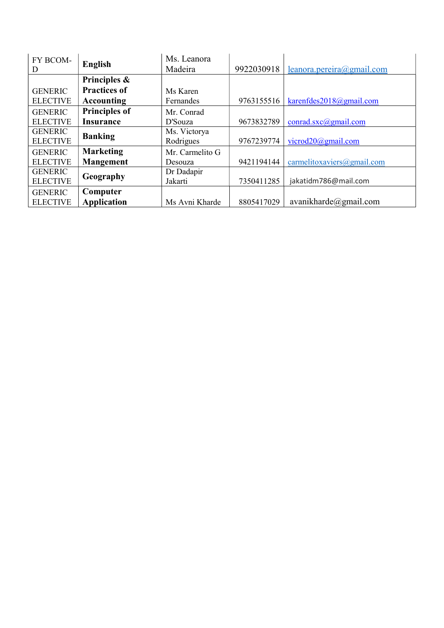| FY BCOM-<br>D   | <b>English</b>       | Ms. Leanora<br>Madeira | 9922030918 | leanora.pereira@gmail.com       |
|-----------------|----------------------|------------------------|------------|---------------------------------|
|                 | Principles &         |                        |            |                                 |
| <b>GENERIC</b>  | <b>Practices of</b>  | Ms Karen               |            |                                 |
| <b>ELECTIVE</b> | <b>Accounting</b>    | Fernandes              | 9763155516 | karenfdes2018@gmail.com         |
| <b>GENERIC</b>  | <b>Principles of</b> | Mr. Conrad             |            |                                 |
| <b>ELECTIVE</b> | <b>Insurance</b>     | D'Souza                | 9673832789 | $control.sxc(\omega)$ gmail.com |
| <b>GENERIC</b>  | <b>Banking</b>       | Ms. Victorya           |            |                                 |
| <b>ELECTIVE</b> |                      | Rodrigues              | 9767239774 | vicrod $20$ @gmail.com          |
| <b>GENERIC</b>  | <b>Marketing</b>     | Mr. Carmelito G        |            |                                 |
| <b>ELECTIVE</b> | <b>Mangement</b>     | Desouza                | 9421194144 | carmelitoxaviers@gmail.com      |
| <b>GENERIC</b>  |                      | Dr Dadapir             |            |                                 |
| <b>ELECTIVE</b> | Geography            | Jakarti                | 7350411285 | jakatidm786@mail.com            |
| <b>GENERIC</b>  | Computer             |                        |            |                                 |
| <b>ELECTIVE</b> | <b>Application</b>   | Ms Avni Kharde         | 8805417029 | avanikharde@gmail.com           |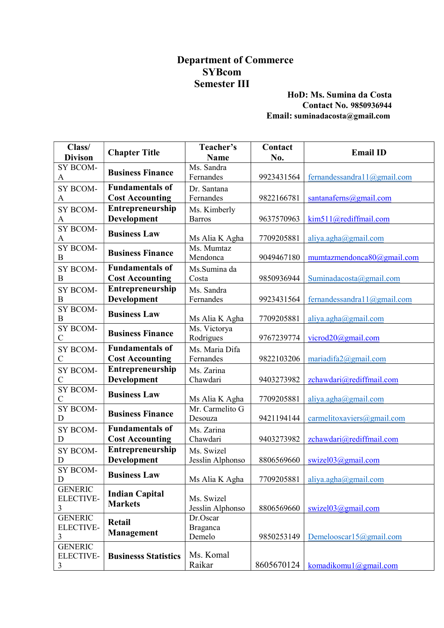# Department of Commerce SYBcom Semester III

#### HoD: Ms. Sumina da Costa Contact No. 9850936944 Email: suminadacosta@gmail.com

| Class/<br><b>Divison</b>                | <b>Chapter Title</b>                    | Teacher's<br><b>Name</b>       | Contact<br>No. | <b>Email ID</b>                   |
|-----------------------------------------|-----------------------------------------|--------------------------------|----------------|-----------------------------------|
| SY BCOM-<br>A                           | <b>Business Finance</b>                 | Ms. Sandra<br>Fernandes        | 9923431564     | fernandessandra $11@g$ mail.com   |
| SY BCOM-                                | <b>Fundamentals of</b>                  | Dr. Santana                    |                |                                   |
| A                                       | <b>Cost Accounting</b>                  | Fernandes                      | 9822166781     | santanaferns@gmail.com            |
| SY BCOM-                                | Entrepreneurship                        | Ms. Kimberly                   |                |                                   |
| A                                       | Development                             | <b>Barros</b>                  | 9637570963     | kim511@rediffmail.com             |
| SY BCOM-<br>A                           | <b>Business Law</b>                     | Ms Alia K Agha                 | 7709205881     | aliya.agha@gmail.com              |
| SY BCOM-<br>$\boldsymbol{B}$            | <b>Business Finance</b>                 | Ms. Mumtaz<br>Mendonca         | 9049467180     | mumtazmendonca80@gmail.com        |
| SY BCOM-                                | <b>Fundamentals of</b>                  | Ms.Sumina da                   |                |                                   |
| $\boldsymbol{B}$                        | <b>Cost Accounting</b>                  | Costa                          | 9850936944     | Suminada $\cos \tan(a)$ gmail.com |
| SY BCOM-<br>$\boldsymbol{B}$            | Entrepreneurship<br><b>Development</b>  | Ms. Sandra<br>Fernandes        | 9923431564     | fernandessandra $11@g$ mail.com   |
| SY BCOM-                                |                                         |                                |                |                                   |
| B                                       | <b>Business Law</b>                     | Ms Alia K Agha                 | 7709205881     | aliya.agha@gmail.com              |
| SY BCOM-<br>$\overline{C}$              | <b>Business Finance</b>                 | Ms. Victorya<br>Rodrigues      | 9767239774     | vicrod $20$ @gmail.com            |
| SY BCOM-                                | <b>Fundamentals of</b>                  | Ms. Maria Difa                 |                |                                   |
| C                                       | <b>Cost Accounting</b>                  | Fernandes                      | 9822103206     | mariadifa $2@$ gmail.com          |
| SY BCOM-                                | Entrepreneurship                        | Ms. Zarina                     |                |                                   |
| $\overline{C}$                          | Development                             | Chawdari                       | 9403273982     | zchawdari@rediffmail.com          |
| SY BCOM-<br>$\mathsf{C}$                | <b>Business Law</b>                     | Ms Alia K Agha                 | 7709205881     | aliya.agha@gmail.com              |
| SY BCOM-<br>D                           | <b>Business Finance</b>                 | Mr. Carmelito G<br>Desouza     | 9421194144     | carmelitoxaviers@gmail.com        |
| SY BCOM-                                | <b>Fundamentals of</b>                  | Ms. Zarina                     |                |                                   |
| D                                       | <b>Cost Accounting</b>                  | Chawdari                       | 9403273982     | zchawdari@rediffmail.com          |
| SY BCOM-                                | Entrepreneurship                        | Ms. Swizel                     |                |                                   |
| D                                       | Development                             | Jesslin Alphonso               | 8806569660     | swizel $03$ @gmail.com            |
| SY BCOM-<br>D                           | <b>Business Law</b>                     | Ms Alia K Agha                 | 7709205881     | aliya.agha@gmail.com              |
| <b>GENERIC</b><br><b>ELECTIVE-</b><br>3 | <b>Indian Capital</b><br><b>Markets</b> | Ms. Swizel<br>Jesslin Alphonso | 8806569660     | swizel $03$ @gmail.com            |
| <b>GENERIC</b>                          | <b>Retail</b>                           | Dr.Oscar                       |                |                                   |
| <b>ELECTIVE-</b><br>3                   | <b>Management</b>                       | Braganca<br>Demelo             | 9850253149     | Demelooscarl $5@g$ mail.com       |
| <b>GENERIC</b>                          |                                         |                                |                |                                   |
| <b>ELECTIVE-</b>                        | <b>Businesss Statistics</b>             | Ms. Komal                      |                |                                   |
| 3                                       |                                         | Raikar                         | 8605670124     | komadikomul@gmail.com             |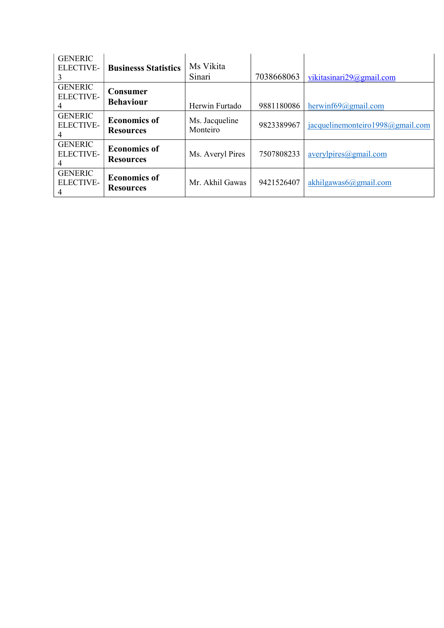| <b>GENERIC</b><br>ELECTIVE-             | <b>Businesss Statistics</b>             | Ms Vikita<br>Sinari        | 7038668063 | vikitasinari29@gmail.com         |
|-----------------------------------------|-----------------------------------------|----------------------------|------------|----------------------------------|
| <b>GENERIC</b><br><b>ELECTIVE-</b>      | Consumer<br><b>Behaviour</b>            | Herwin Furtado             | 9881180086 | herwinf69@gmail.com              |
| <b>GENERIC</b><br><b>ELECTIVE-</b>      | <b>Economics of</b><br><b>Resources</b> | Ms. Jacqueline<br>Monteiro | 9823389967 | jacquelinemonteiro1998@gmail.com |
| <b>GENERIC</b><br><b>ELECTIVE-</b>      | <b>Economics of</b><br><b>Resources</b> | Ms. Averyl Pires           | 7507808233 | averylpires@gmail.com            |
| <b>GENERIC</b><br><b>ELECTIVE-</b><br>4 | <b>Economics of</b><br><b>Resources</b> | Mr. Akhil Gawas            | 9421526407 | akhilgawas $6$ @gmail.com        |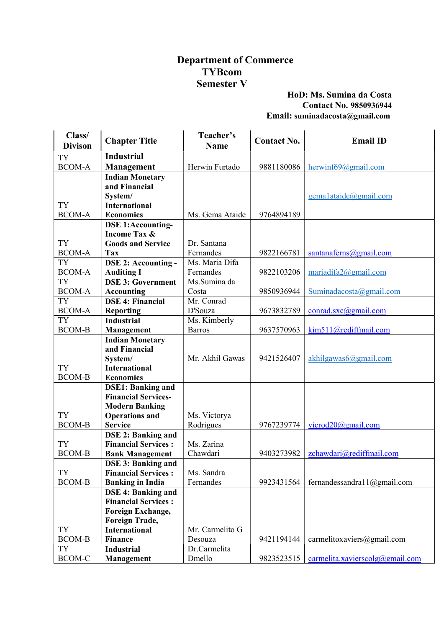### Department of Commerce TYBcom Semester V

### HoD: Ms. Sumina da Costa Contact No. 9850936944 Email: suminadacosta@gmail.com

| Class/<br><b>Divison</b>   | <b>Chapter Title</b>                | Teacher's<br><b>Name</b> | <b>Contact No.</b> | <b>Email ID</b>                        |
|----------------------------|-------------------------------------|--------------------------|--------------------|----------------------------------------|
| <b>TY</b>                  | <b>Industrial</b>                   |                          |                    |                                        |
| <b>BCOM-A</b>              | Management                          | Herwin Furtado           | 9881180086         | hervinf69@gmail.com                    |
|                            | <b>Indian Monetary</b>              |                          |                    |                                        |
|                            | and Financial                       |                          |                    |                                        |
|                            | System/                             |                          |                    | $\text{gema1}$ ataide@gmail.com        |
| <b>TY</b>                  | <b>International</b>                |                          |                    |                                        |
| <b>BCOM-A</b>              | <b>Economics</b>                    | Ms. Gema Ataide          | 9764894189         |                                        |
|                            | <b>DSE 1:Accounting-</b>            |                          |                    |                                        |
|                            | <b>Income Tax &amp;</b>             |                          |                    |                                        |
| <b>TY</b>                  | <b>Goods and Service</b>            | Dr. Santana              |                    |                                        |
| <b>BCOM-A</b>              | Tax                                 | Fernandes                | 9822166781         | santanaferns@gmail.com                 |
| <b>TY</b>                  | <b>DSE 2: Accounting -</b>          | Ms. Maria Difa           |                    |                                        |
| <b>BCOM-A</b>              | <b>Auditing I</b>                   | Fernandes                | 9822103206         | mariadifa $2@$ gmail.com               |
| <b>TY</b>                  | <b>DSE 3: Government</b>            | Ms.Sumina da             |                    |                                        |
| <b>BCOM-A</b>              | <b>Accounting</b>                   | Costa                    | 9850936944         | Suminadacosta@gmail.com                |
| <b>TY</b>                  | <b>DSE 4: Financial</b>             | Mr. Conrad               |                    |                                        |
| <b>BCOM-A</b>              | <b>Reporting</b>                    | D'Souza                  | 9673832789         | $\frac{\text{conrad.sxc}(a)$ gmail.com |
| <b>TY</b>                  | <b>Industrial</b>                   | Ms. Kimberly             |                    |                                        |
| <b>BCOM-B</b>              | <b>Management</b>                   | <b>Barros</b>            | 9637570963         | kim511@rediffmail.com                  |
|                            | <b>Indian Monetary</b>              |                          |                    |                                        |
|                            | and Financial                       | Mr. Akhil Gawas          | 9421526407         | akhilgawas6@gmail.com                  |
| <b>TY</b>                  | System/<br><b>International</b>     |                          |                    |                                        |
| <b>BCOM-B</b>              | <b>Economics</b>                    |                          |                    |                                        |
|                            | <b>DSE1: Banking and</b>            |                          |                    |                                        |
|                            | <b>Financial Services-</b>          |                          |                    |                                        |
|                            | <b>Modern Banking</b>               |                          |                    |                                        |
| <b>TY</b>                  | <b>Operations and</b>               | Ms. Victorya             |                    |                                        |
| <b>BCOM-B</b>              | <b>Service</b>                      | Rodrigues                | 9767239774         | vicrod20@gmail.com                     |
|                            | <b>DSE 2: Banking and</b>           |                          |                    |                                        |
| <b>TY</b>                  | <b>Financial Services:</b>          | Ms. Zarina               |                    |                                        |
| <b>BCOM-B</b>              | <b>Bank Management</b>              | Chawdari                 | 9403273982         | zchawdari@rediffmail.com               |
|                            | <b>DSE 3: Banking and</b>           |                          |                    |                                        |
| <b>TY</b>                  | <b>Financial Services:</b>          | Ms. Sandra               |                    |                                        |
| <b>BCOM-B</b>              | <b>Banking in India</b>             | Fernandes                | 9923431564         | fernandessandra $11@g$ mail.com        |
|                            | <b>DSE 4: Banking and</b>           |                          |                    |                                        |
|                            | <b>Financial Services:</b>          |                          |                    |                                        |
|                            | Foreign Exchange,                   |                          |                    |                                        |
|                            | Foreign Trade,                      |                          |                    |                                        |
| <b>TY</b><br><b>BCOM-B</b> | <b>International</b>                | Mr. Carmelito G          | 9421194144         |                                        |
| <b>TY</b>                  | <b>Finance</b><br><b>Industrial</b> | Desouza<br>Dr.Carmelita  |                    | carmelitoxaviers@gmail.com             |
| BCOM-C                     |                                     | Dmello                   | 9823523515         | carmelita.xavierscolg@gmail.com        |
|                            | Management                          |                          |                    |                                        |